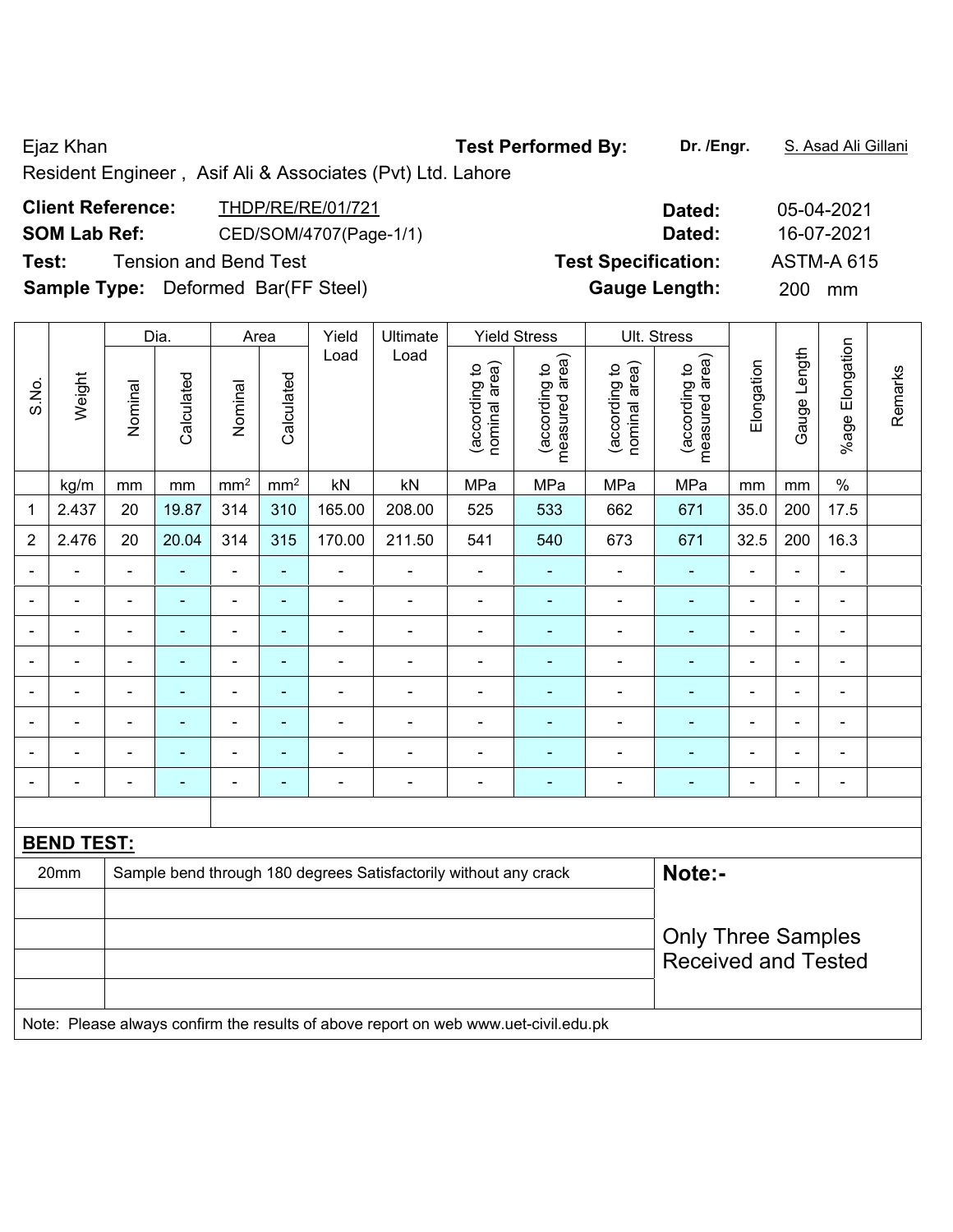Ejaz Khan **Test Performed By:** Dr. /Engr. **S. Asad Ali Gillani** Cileni

Resident Engineer , Asif Ali & Associates (Pvt) Ltd. Lahore

| <b>Client Reference:</b><br><b>SOM Lab Ref:</b> | THDP/RE/RE/01/721<br>CED/SOM/4707(Page-1/1) | Dated:<br>Dated:           | 05-04-2021<br>16-07-2021 |
|-------------------------------------------------|---------------------------------------------|----------------------------|--------------------------|
| Test:                                           | <b>Tension and Bend Test</b>                | <b>Test Specification:</b> | <b>ASTM-A 615</b>        |
| <b>Sample Type:</b> Deformed Bar(FF Steel)      |                                             | <b>Gauge Length:</b>       | <b>200</b><br>mm         |

|                |                   |                | Dia.           |                 | Area                     | Yield          | Ultimate                                                         |                                | <b>Yield Stress</b>             |                                | Ult. Stress                     |                |                          |                              |         |
|----------------|-------------------|----------------|----------------|-----------------|--------------------------|----------------|------------------------------------------------------------------|--------------------------------|---------------------------------|--------------------------------|---------------------------------|----------------|--------------------------|------------------------------|---------|
| S.No.          | Weight            | Nominal        | Calculated     | Nominal         | Calculated               | Load           | Load                                                             | nominal area)<br>(according to | measured area)<br>(according to | nominal area)<br>(according to | measured area)<br>(according to | Elongation     | Gauge Length             | %age Elongation              | Remarks |
|                | kg/m              | mm             | mm             | mm <sup>2</sup> | mm <sup>2</sup>          | kN             | kN                                                               | MPa                            | MPa                             | MPa                            | MPa                             | mm             | mm                       | $\%$                         |         |
| 1              | 2.437             | 20             | 19.87          | 314             | 310                      | 165.00         | 208.00                                                           | 525                            | 533                             | 662                            | 671                             | 35.0           | 200                      | 17.5                         |         |
| $\overline{2}$ | 2.476             | 20             | 20.04          | 314             | 315                      | 170.00         | 211.50                                                           | 541                            | 540                             | 673                            | 671                             | 32.5           | 200                      | 16.3                         |         |
|                | $\blacksquare$    | $\blacksquare$ | $\blacksquare$ | $\blacksquare$  | ÷                        | $\blacksquare$ |                                                                  | $\blacksquare$                 | $\blacksquare$                  | $\blacksquare$                 | $\blacksquare$                  | $\blacksquare$ | $\blacksquare$           | $\blacksquare$               |         |
|                |                   |                | $\blacksquare$ | $\blacksquare$  | $\overline{\phantom{0}}$ | $\blacksquare$ |                                                                  | $\overline{\phantom{0}}$       | $\blacksquare$                  | -                              | $\blacksquare$                  | $\blacksquare$ | $\blacksquare$           | $\blacksquare$               |         |
| ۰              | ۰                 | $\blacksquare$ | $\blacksquare$ | $\blacksquare$  | ۰                        | $\blacksquare$ |                                                                  | $\overline{\phantom{0}}$       | ۰                               | -                              | $\blacksquare$                  | $\blacksquare$ | $\blacksquare$           | $\qquad \qquad \blacksquare$ |         |
|                |                   |                |                | -               | ۰                        |                |                                                                  |                                | ۰                               | -                              |                                 |                | $\overline{\phantom{0}}$ | $\blacksquare$               |         |
| ۰              | ۰                 | $\blacksquare$ | $\blacksquare$ | $\blacksquare$  | ÷                        | $\blacksquare$ |                                                                  | $\overline{\phantom{0}}$       | ۰                               | -                              | $\blacksquare$                  | $\blacksquare$ | $\overline{a}$           | $\qquad \qquad \blacksquare$ |         |
|                |                   |                |                | ä,              | ۰                        |                |                                                                  |                                | ۰                               | -                              | $\blacksquare$                  |                |                          | $\overline{\phantom{0}}$     |         |
| ۰              | $\blacksquare$    | $\blacksquare$ | $\blacksquare$ | $\blacksquare$  | ۰                        | $\blacksquare$ |                                                                  | $\blacksquare$                 | ۰                               | -                              | $\blacksquare$                  | $\blacksquare$ | $\blacksquare$           | $\blacksquare$               |         |
|                | ۰                 |                | $\blacksquare$ | $\blacksquare$  | ÷                        | ÷              |                                                                  | $\blacksquare$                 | $\blacksquare$                  | -                              | $\blacksquare$                  | $\blacksquare$ | $\blacksquare$           | $\blacksquare$               |         |
|                |                   |                |                |                 |                          |                |                                                                  |                                |                                 |                                |                                 |                |                          |                              |         |
|                | <b>BEND TEST:</b> |                |                |                 |                          |                |                                                                  |                                |                                 |                                |                                 |                |                          |                              |         |
|                | 20mm              |                |                |                 |                          |                | Sample bend through 180 degrees Satisfactorily without any crack |                                |                                 |                                | Note:-                          |                |                          |                              |         |
|                |                   |                |                |                 |                          |                |                                                                  |                                |                                 |                                |                                 |                |                          |                              |         |
|                |                   |                |                |                 |                          |                |                                                                  |                                |                                 |                                | <b>Only Three Samples</b>       |                |                          |                              |         |
|                |                   |                |                |                 |                          |                |                                                                  |                                |                                 |                                | <b>Received and Tested</b>      |                |                          |                              |         |
|                |                   |                |                |                 |                          |                |                                                                  |                                |                                 |                                |                                 |                |                          |                              |         |

Note: Please always confirm the results of above report on web www.uet-civil.edu.pk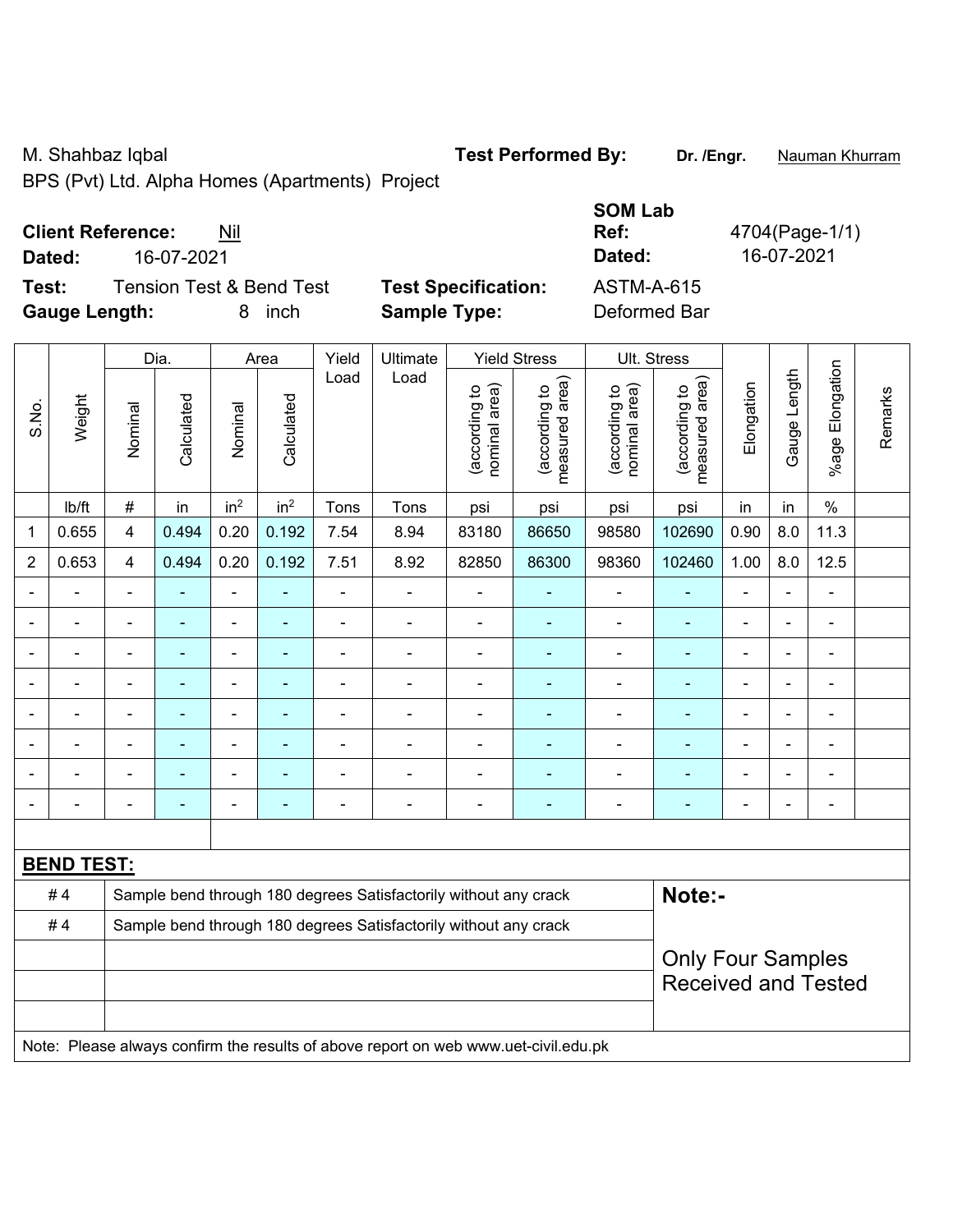BPS (Pvt) Ltd. Alpha Homes (Apartments) Project

## **Client Reference:** Nil

**Test:** Tension Test & Bend Test **Test Specification: Gauge Length:** 8 inch **Sample Type:** Deformed Bar

|                                              |                            | <b>SOM Lab</b> |                |
|----------------------------------------------|----------------------------|----------------|----------------|
| <b>Client Reference:</b><br>Nil              |                            | Ref:           | 4704(Page-1/1) |
| 16-07-2021<br>Dated:                         |                            | Dated:         | 16-07-2021     |
| Test:<br><b>Tension Test &amp; Bend Test</b> | <b>Test Specification:</b> | ASTM-A-615     |                |
| Gaugo Longth<br>⊟in∩h                        | Sample Type:               | Deformed Rar   |                |

|                |                   |                         | Dia.           |                                                        | Area            | Yield          | Ultimate                                                                            |                                | <b>Yield Stress</b>             |                                | Ult. Stress                     |                |                |                           |         |
|----------------|-------------------|-------------------------|----------------|--------------------------------------------------------|-----------------|----------------|-------------------------------------------------------------------------------------|--------------------------------|---------------------------------|--------------------------------|---------------------------------|----------------|----------------|---------------------------|---------|
| S.No.          | Weight            | Nominal                 | Calculated     | Nominal                                                | Calculated      | Load           | Load                                                                                | nominal area)<br>(according to | (according to<br>measured area) | (according to<br>nominal area) | (according to<br>measured area) | Elongation     | Gauge Length   | Elongation<br>$%$ age $ $ | Remarks |
|                | Ib/ft             | $\#$                    | in             | in <sup>2</sup>                                        | in <sup>2</sup> | Tons           | Tons                                                                                | psi                            | psi                             | psi                            | psi                             | in             | in             | $\%$                      |         |
| 1              | 0.655             | $\overline{\mathbf{4}}$ | 0.494          | 0.20                                                   | 0.192           | 7.54           | 8.94                                                                                | 83180                          | 86650                           | 98580                          | 102690                          | 0.90           | 8.0            | 11.3                      |         |
| $\overline{2}$ | 0.653             | $\overline{4}$          | 0.494          | 0.20                                                   | 0.192           | 7.51           | 8.92                                                                                | 82850                          | 86300                           | 98360                          | 102460                          | 1.00           | 8.0            | 12.5                      |         |
| $\blacksquare$ | $\blacksquare$    | $\blacksquare$          | $\blacksquare$ | $\blacksquare$                                         | $\blacksquare$  | ä,             | $\blacksquare$                                                                      | $\blacksquare$                 | $\blacksquare$                  | $\overline{\phantom{a}}$       | ÷,                              | $\blacksquare$ | $\blacksquare$ | $\blacksquare$            |         |
|                | $\blacksquare$    | $\blacksquare$          | $\blacksquare$ | $\blacksquare$                                         | ٠               | ä,             | $\blacksquare$                                                                      | ä,                             | $\blacksquare$                  | $\blacksquare$                 | $\blacksquare$                  | ۰              | $\blacksquare$ | $\blacksquare$            |         |
|                | $\blacksquare$    | $\blacksquare$          | ä,             | $\blacksquare$                                         | $\blacksquare$  | ä,             | $\overline{a}$                                                                      | $\blacksquare$                 | ä,                              | $\blacksquare$                 | $\blacksquare$                  | $\blacksquare$ |                | $\blacksquare$            |         |
|                | $\blacksquare$    |                         |                | $\overline{\phantom{0}}$                               | ۰               | $\blacksquare$ | $\blacksquare$                                                                      | $\blacksquare$                 |                                 | $\blacksquare$                 | ä,                              | $\blacksquare$ |                | $\blacksquare$            |         |
|                |                   |                         |                | ä,                                                     |                 |                | $\blacksquare$                                                                      | $\blacksquare$                 | $\blacksquare$                  | $\overline{\phantom{0}}$       | $\blacksquare$                  | $\blacksquare$ |                | $\blacksquare$            |         |
|                | ۳                 |                         |                | ۰                                                      | $\blacksquare$  | $\blacksquare$ | $\blacksquare$                                                                      | $\blacksquare$                 |                                 | $\blacksquare$                 | $\blacksquare$                  | $\blacksquare$ |                | $\blacksquare$            |         |
|                |                   |                         |                | ÷                                                      |                 |                | $\blacksquare$                                                                      | $\blacksquare$                 |                                 | $\blacksquare$                 | $\blacksquare$                  | $\blacksquare$ |                | $\blacksquare$            |         |
|                | ä,                |                         | ÷              | $\overline{\phantom{0}}$                               | ۰               | ÷              | ÷                                                                                   | $\overline{a}$                 | $\overline{\phantom{0}}$        | $\blacksquare$                 | $\blacksquare$                  | ÷              |                | $\blacksquare$            |         |
|                |                   |                         |                |                                                        |                 |                |                                                                                     |                                |                                 |                                |                                 |                |                |                           |         |
|                | <b>BEND TEST:</b> |                         |                |                                                        |                 |                |                                                                                     |                                |                                 |                                |                                 |                |                |                           |         |
|                | #4                |                         |                |                                                        |                 |                | Sample bend through 180 degrees Satisfactorily without any crack                    |                                |                                 |                                | Note:-                          |                |                |                           |         |
|                | #4                |                         |                |                                                        |                 |                | Sample bend through 180 degrees Satisfactorily without any crack                    |                                |                                 |                                |                                 |                |                |                           |         |
|                |                   |                         |                | <b>Only Four Samples</b><br><b>Received and Tested</b> |                 |                |                                                                                     |                                |                                 |                                |                                 |                |                |                           |         |
|                |                   |                         |                |                                                        |                 |                | Note: Please always confirm the results of above report on web www.uet-civil.edu.pk |                                |                                 |                                |                                 |                |                |                           |         |

M. Shahbaz Iqbal **Test Performed By: Dr. /Engr.** Nauman Khurram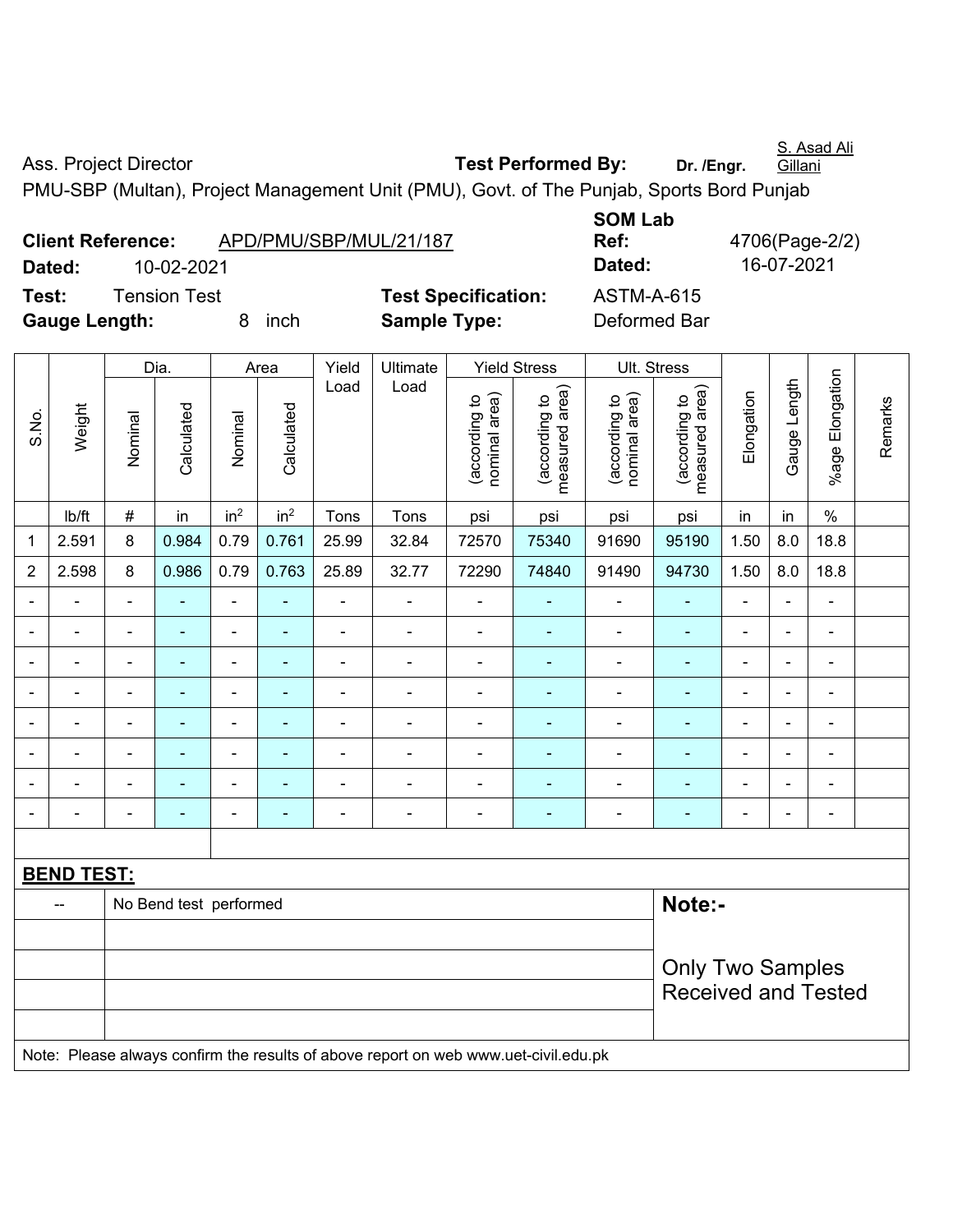S. Asad Ali Gillani

Ass. Project Director **Test Performed By:** Dr. /Engr.

PMU-SBP (Multan), Project Management Unit (PMU), Govt. of The Punjab, Sports Bord Punjab

| <b>Client Reference:</b> |                     |        | APD/PMU/SBP/MUL/21/187 |
|--------------------------|---------------------|--------|------------------------|
| Dated:                   | 10-02-2021          |        |                        |
| Test:                    | <b>Tension Test</b> |        | <b>Test Specific</b>   |
| Gauge Length:            |                     | 8 inch | <b>Sample Type</b>     |

**SOM Lab Ref:** 4706(Page-2/2) **Dated:** 10-02-2021 **Dated:** 16-07-2021 **Testion:** ASTM-A-615 **Gauge Length:** 8 inch **Sample Type:** Deformed Bar

|                          |                              |                | Dia.                   |                          | Area                     | Yield          | Ultimate                                                                            |                                | <b>Yield Stress</b>             |                                | Ult. Stress                                           |                |                          |                          |         |
|--------------------------|------------------------------|----------------|------------------------|--------------------------|--------------------------|----------------|-------------------------------------------------------------------------------------|--------------------------------|---------------------------------|--------------------------------|-------------------------------------------------------|----------------|--------------------------|--------------------------|---------|
| S.No.                    | Weight                       | Nominal        | Calculated             | Nominal                  | Calculated               | Load           | Load                                                                                | (according to<br>nominal area) | (according to<br>measured area) | nominal area)<br>(according to | (according to<br>measured area)                       | Elongation     | Gauge Length             | %age Elongation          | Remarks |
|                          | Ib/ft                        | $\#$           | in                     | in <sup>2</sup>          | in <sup>2</sup>          | Tons           | Tons                                                                                | psi                            | psi                             | psi                            | psi                                                   | in             | in                       | $\%$                     |         |
| 1                        | 2.591                        | 8              | 0.984                  | 0.79                     | 0.761                    | 25.99          | 32.84                                                                               | 72570                          | 75340                           | 91690                          | 95190                                                 | 1.50           | 8.0                      | 18.8                     |         |
| $\overline{2}$           | 2.598                        | 8              | 0.986                  | 0.79                     | 0.763                    | 25.89          | 32.77                                                                               | 72290                          | 74840                           | 91490                          | 94730                                                 | 1.50           | 8.0                      | 18.8                     |         |
| $\blacksquare$           | ä,                           | $\blacksquare$ | ä,                     | $\blacksquare$           | $\blacksquare$           | $\blacksquare$ | $\blacksquare$                                                                      | $\blacksquare$                 | $\blacksquare$                  | $\blacksquare$                 | $\blacksquare$                                        | $\blacksquare$ | $\blacksquare$           | $\blacksquare$           |         |
|                          | $\qquad \qquad \blacksquare$ | $\blacksquare$ | $\blacksquare$         | $\blacksquare$           | $\blacksquare$           | $\frac{1}{2}$  | ÷                                                                                   | $\blacksquare$                 | $\overline{\phantom{a}}$        | $\overline{\phantom{a}}$       | $\blacksquare$                                        | $\blacksquare$ | $\blacksquare$           | $\overline{\phantom{a}}$ |         |
|                          | $\blacksquare$               | $\blacksquare$ | $\blacksquare$         | $\frac{1}{2}$            | $\blacksquare$           | $\blacksquare$ | $\blacksquare$                                                                      | $\overline{\phantom{a}}$       | $\blacksquare$                  | $\blacksquare$                 | $\blacksquare$                                        | $\blacksquare$ | $\blacksquare$           | $\blacksquare$           |         |
|                          | $\overline{a}$               |                | Ē,                     | ä,                       | ÷                        | ä,             | ä,                                                                                  | Ē,                             | $\blacksquare$                  | $\blacksquare$                 | $\blacksquare$                                        |                | ä,                       | $\blacksquare$           |         |
|                          |                              |                |                        | ÷                        |                          | $\blacksquare$ | ÷                                                                                   |                                |                                 | ÷                              |                                                       | $\blacksquare$ | ÷                        | $\overline{\phantom{0}}$ |         |
| $\overline{\phantom{0}}$ | ÷                            | $\blacksquare$ | $\blacksquare$         | ۰                        | ۰                        | $\overline{a}$ | ÷                                                                                   | $\blacksquare$                 | $\overline{\phantom{a}}$        | $\blacksquare$                 | $\blacksquare$                                        | $\blacksquare$ | $\frac{1}{2}$            | $\overline{a}$           |         |
|                          | ÷                            |                | $\blacksquare$         | $\blacksquare$           | $\blacksquare$           | $\blacksquare$ | ä,                                                                                  | $\blacksquare$                 | $\overline{\phantom{a}}$        | ÷                              | $\blacksquare$                                        | $\blacksquare$ | L.                       | ä,                       |         |
|                          |                              | $\overline{a}$ | ٠                      | $\overline{\phantom{0}}$ | $\overline{\phantom{a}}$ | $\frac{1}{2}$  | $\overline{\phantom{a}}$                                                            | $\blacksquare$                 | $\overline{a}$                  | ÷                              | $\blacksquare$                                        | $\blacksquare$ | $\overline{\phantom{a}}$ | $\overline{\phantom{a}}$ |         |
|                          |                              |                |                        |                          |                          |                |                                                                                     |                                |                                 |                                |                                                       |                |                          |                          |         |
|                          | <b>BEND TEST:</b>            |                |                        |                          |                          |                |                                                                                     |                                |                                 |                                |                                                       |                |                          |                          |         |
|                          | --                           |                | No Bend test performed |                          |                          |                |                                                                                     |                                |                                 |                                | Note:-                                                |                |                          |                          |         |
|                          |                              |                |                        |                          |                          |                |                                                                                     |                                |                                 |                                |                                                       |                |                          |                          |         |
|                          |                              |                |                        |                          |                          |                |                                                                                     |                                |                                 |                                | <b>Only Two Samples</b><br><b>Received and Tested</b> |                |                          |                          |         |
|                          |                              |                |                        |                          |                          |                | Note: Please always confirm the results of above report on web www.uet-civil.edu.pk |                                |                                 |                                |                                                       |                |                          |                          |         |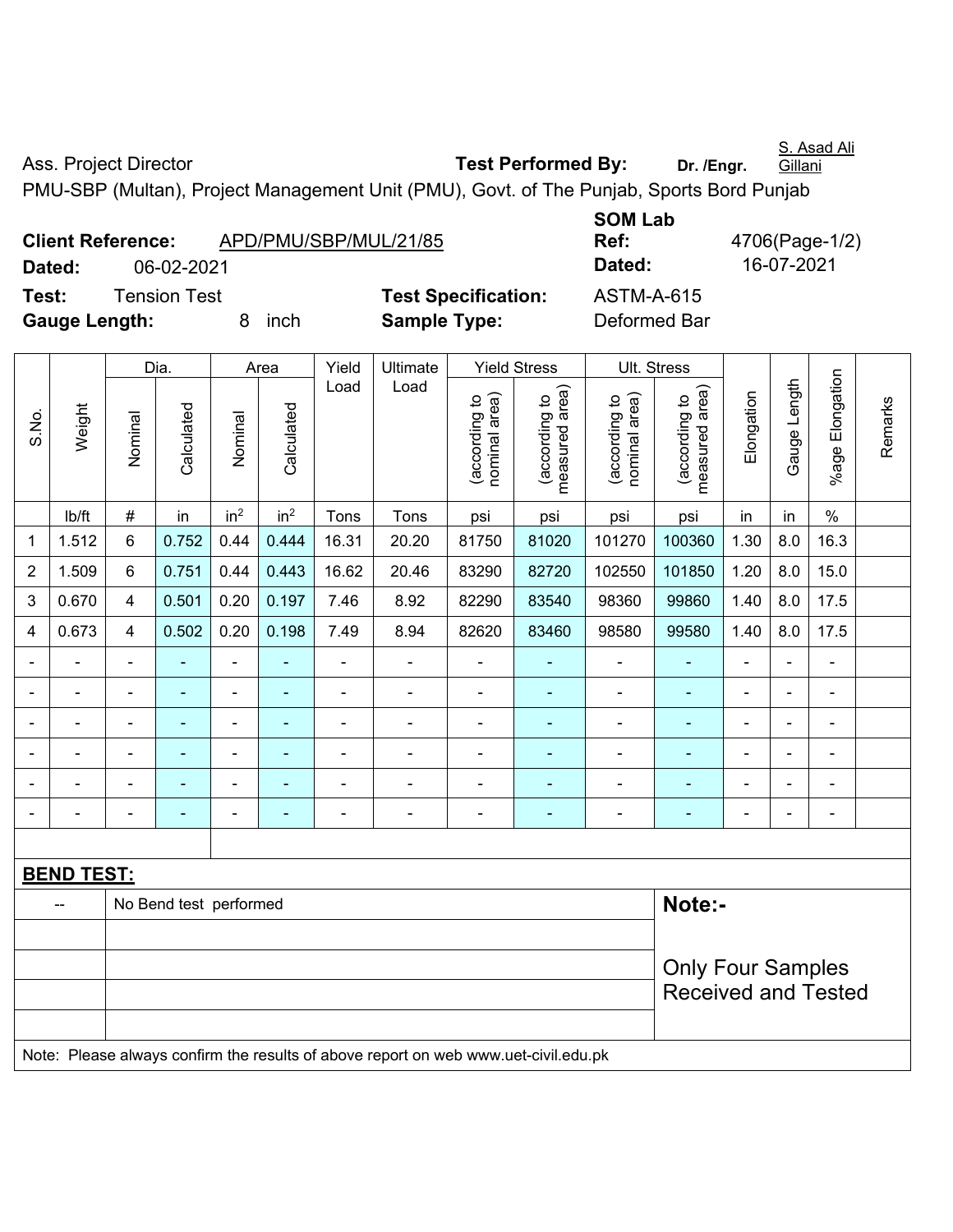Ass. Project Director **Test Performed By:** Dr. /Engr.

PMU-SBP (Multan), Project Management Unit (PMU), Govt. of The Punjab, Sports Bord Punjab

| APD/PMU/SBP/MUL/21/85 |                       |
|-----------------------|-----------------------|
| 06-02-2021            |                       |
| <b>Tension Test</b>   | <b>Test Specifica</b> |
| inch<br>8             | <b>Sample Type:</b>   |
|                       |                       |

**SOM Lab Ref:** 4706(Page-1/2) **Dated:** 06-02-2021 **Dated:** 16-07-2021 **Test:** Test Specification:  $\overline{X}$ **Deformed Bar** 

|                |                   |                          | Dia.                   |                 | Area            | Yield<br>Ultimate<br><b>Yield Stress</b> |                                                                                     |                                | Ult. Stress                     |                                |                                 |                |                |                          |         |
|----------------|-------------------|--------------------------|------------------------|-----------------|-----------------|------------------------------------------|-------------------------------------------------------------------------------------|--------------------------------|---------------------------------|--------------------------------|---------------------------------|----------------|----------------|--------------------------|---------|
| S.No.          | Weight            | Nominal                  | Calculated             | Nominal         | Calculated      | Load                                     | Load                                                                                | nominal area)<br>(according to | measured area)<br>(according to | nominal area)<br>(according to | measured area)<br>(according to | Elongation     | Gauge Length   | %age Elongation          | Remarks |
|                | lb/ft             | #                        | in                     | in <sup>2</sup> | in <sup>2</sup> | Tons                                     | Tons                                                                                | psi                            | psi                             | psi                            | psi                             | in             | in             | $\%$                     |         |
| 1              | 1.512             | 6                        | 0.752                  | 0.44            | 0.444           | 16.31                                    | 20.20                                                                               | 81750                          | 81020                           | 101270                         | 100360                          | 1.30           | 8.0            | 16.3                     |         |
| $\overline{2}$ | 1.509             | 6                        | 0.751                  | 0.44            | 0.443           | 16.62                                    | 20.46                                                                               | 83290                          | 82720                           | 102550                         | 101850                          | 1.20           | 8.0            | 15.0                     |         |
| 3              | 0.670             | 4                        | 0.501                  | 0.20            | 0.197           | 7.46                                     | 8.92                                                                                | 82290                          | 83540                           | 98360                          | 99860                           | 1.40           | 8.0            | 17.5                     |         |
| 4              | 0.673             | 4                        | 0.502                  | 0.20            | 0.198           | 7.49                                     | 8.94                                                                                | 82620                          | 83460                           | 98580                          | 99580                           | 1.40           | 8.0            | 17.5                     |         |
|                | ÷                 | $\overline{\phantom{a}}$ | ä,                     | $\blacksquare$  |                 | $\blacksquare$                           | $\blacksquare$                                                                      | $\blacksquare$                 | $\overline{\phantom{a}}$        | $\blacksquare$                 | $\blacksquare$                  | $\blacksquare$ | ÷,             | $\blacksquare$           |         |
|                | ä,                | $\blacksquare$           | ÷                      | $\blacksquare$  |                 | $\blacksquare$                           | $\blacksquare$                                                                      | ä,                             | $\blacksquare$                  | $\blacksquare$                 | $\blacksquare$                  | $\blacksquare$ | $\blacksquare$ | $\blacksquare$           |         |
|                | $\blacksquare$    |                          | L,                     | $\blacksquare$  |                 | $\blacksquare$                           | $\blacksquare$                                                                      | ä,                             | $\blacksquare$                  | $\blacksquare$                 | ÷                               | $\blacksquare$ |                | ä,                       |         |
|                |                   |                          |                        |                 |                 |                                          |                                                                                     | $\blacksquare$                 |                                 |                                |                                 |                |                | $\blacksquare$           |         |
|                |                   |                          |                        |                 |                 |                                          |                                                                                     | Ē,                             |                                 |                                |                                 |                |                |                          |         |
| $\blacksquare$ | $\blacksquare$    | $\blacksquare$           | ۰                      | $\blacksquare$  | $\blacksquare$  | $\overline{\phantom{0}}$                 | $\overline{\phantom{a}}$                                                            | $\blacksquare$                 | $\blacksquare$                  | $\blacksquare$                 | ۰                               | $\blacksquare$ | $\overline{a}$ | $\overline{\phantom{a}}$ |         |
|                |                   |                          |                        |                 |                 |                                          |                                                                                     |                                |                                 |                                |                                 |                |                |                          |         |
|                | <b>BEND TEST:</b> |                          |                        |                 |                 |                                          |                                                                                     |                                |                                 |                                |                                 |                |                |                          |         |
|                |                   |                          | No Bend test performed |                 |                 |                                          |                                                                                     |                                |                                 |                                | Note:-                          |                |                |                          |         |
|                |                   |                          |                        |                 |                 |                                          |                                                                                     |                                |                                 |                                |                                 |                |                |                          |         |
|                |                   |                          |                        |                 |                 |                                          |                                                                                     |                                |                                 |                                | <b>Only Four Samples</b>        |                |                |                          |         |
|                |                   |                          |                        |                 |                 |                                          |                                                                                     |                                |                                 |                                | <b>Received and Tested</b>      |                |                |                          |         |
|                |                   |                          |                        |                 |                 |                                          |                                                                                     |                                |                                 |                                |                                 |                |                |                          |         |
|                |                   |                          |                        |                 |                 |                                          | Note: Please always confirm the results of above report on web www.uet-civil.edu.pk |                                |                                 |                                |                                 |                |                |                          |         |

S. Asad Ali **Gillani**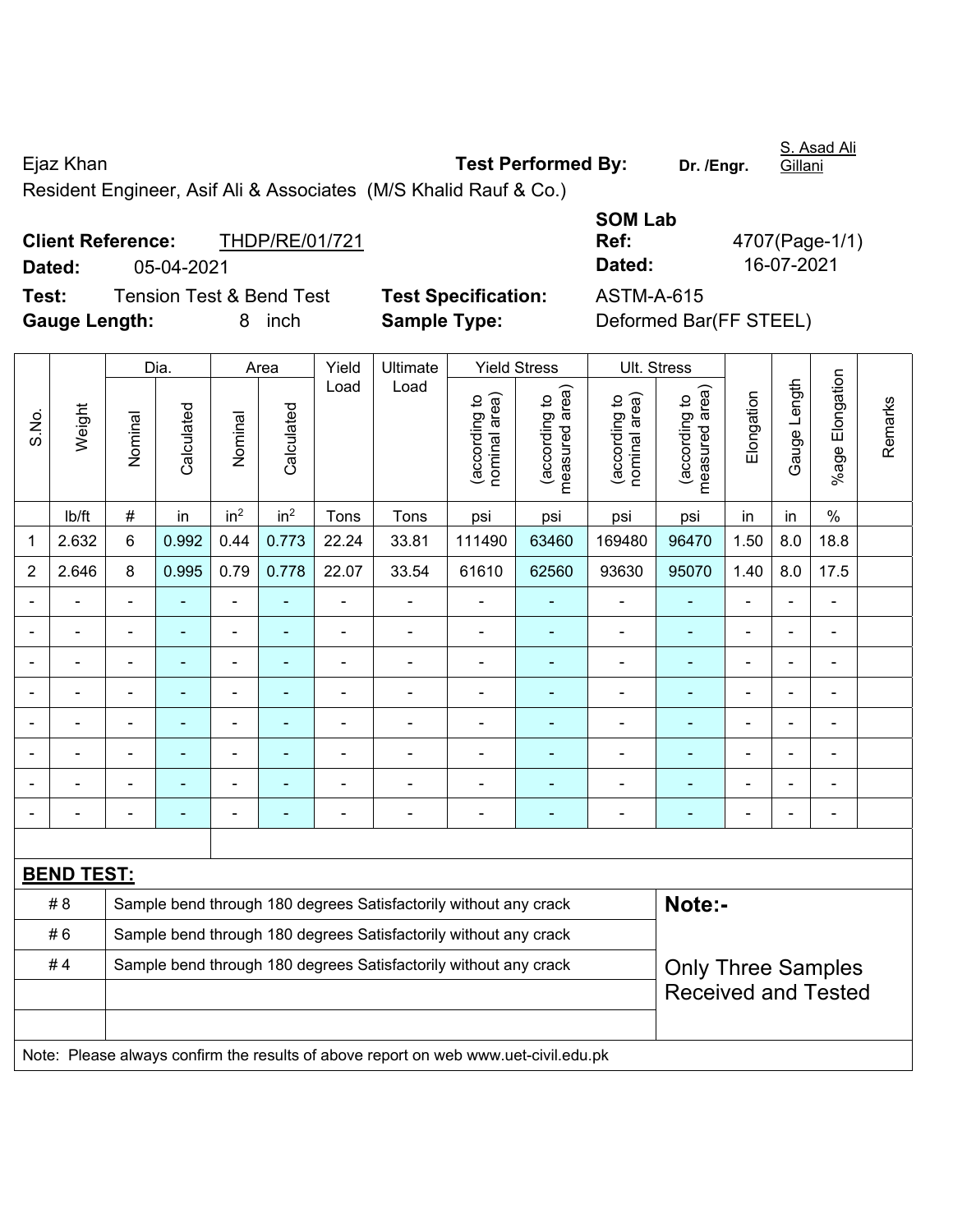Ejaz Khan **Test Performed By: Dr. /Engr.**  Resident Engineer, Asif Ali & Associates (M/S Khalid Rauf & Co.)

|               | <b>Client Reference:</b>            | THDP/RE/01/721 |
|---------------|-------------------------------------|----------------|
| Dated:        | 05-04-2021                          |                |
| Test:         | <b>Tension Test &amp; Bend Test</b> |                |
| Cause Langthi |                                     | 0 inch         |

**Test Specification:** ASTM-A-615 **Gauge Length:** 8 inch **Sample Type:** Deformed Bar(FF STEEL)

**SOM Lab Ref:** 4707(Page-1/1) **Dated:** 05-04-2021 **Dated:** 16-07-2021

|                |                   |                                                                            | Dia.           |                 | Area            | Yield          | Ultimate                                                                            |                                | <b>Yield Stress</b>             |                                | Ult. Stress                     |                          |                |                 |         |
|----------------|-------------------|----------------------------------------------------------------------------|----------------|-----------------|-----------------|----------------|-------------------------------------------------------------------------------------|--------------------------------|---------------------------------|--------------------------------|---------------------------------|--------------------------|----------------|-----------------|---------|
| S.No.          | Weight            | Nominal                                                                    | Calculated     | Nominal         | Calculated      | Load           | Load                                                                                | (according to<br>nominal area) | measured area)<br>(according to | nominal area)<br>(according to | measured area)<br>(according to | Elongation               | Gauge Length   | %age Elongation | Remarks |
|                | lb/ft             | $\#$                                                                       | in             | in <sup>2</sup> | in <sup>2</sup> | Tons           | Tons                                                                                | psi                            | psi                             | psi                            | psi                             | in                       | in             | $\%$            |         |
| 1              | 2.632             | 6                                                                          | 0.992          | 0.44            | 0.773           | 22.24          | 33.81                                                                               | 111490                         | 63460                           | 169480                         | 96470                           | 1.50                     | 8.0            | 18.8            |         |
| $\overline{2}$ | 2.646             | 8                                                                          | 0.995          | 0.79            | 0.778           | 22.07          | 33.54                                                                               | 61610                          | 62560                           | 93630                          | 95070                           | 1.40                     | 8.0            | 17.5            |         |
| $\blacksquare$ |                   |                                                                            |                | ÷,              |                 | $\blacksquare$ | $\blacksquare$                                                                      | $\blacksquare$                 |                                 | $\blacksquare$                 |                                 |                          |                |                 |         |
| $\blacksquare$ |                   |                                                                            | ÷              | ۰               |                 | $\blacksquare$ | $\blacksquare$                                                                      | ÷                              | $\blacksquare$                  | $\blacksquare$                 | $\blacksquare$                  | ÷                        | ä,             | ä,              |         |
| $\blacksquare$ | $\blacksquare$    | $\blacksquare$                                                             | $\blacksquare$ | ۰               |                 | $\blacksquare$ | $\blacksquare$                                                                      | $\overline{a}$                 | $\blacksquare$                  |                                | $\blacksquare$                  | $\overline{\phantom{0}}$ | $\blacksquare$ | $\blacksquare$  |         |
| $\blacksquare$ | ÷                 | $\blacksquare$                                                             | ä,             | ÷,              | ٠               | $\blacksquare$ | $\blacksquare$                                                                      | ä,                             | $\blacksquare$                  | $\blacksquare$                 | ٠                               | $\blacksquare$           | $\blacksquare$ | ÷               |         |
|                |                   |                                                                            |                | ÷               |                 | ä,             | $\blacksquare$                                                                      | ÷                              |                                 | ä,                             |                                 |                          |                |                 |         |
|                |                   |                                                                            |                | ۰               |                 |                | $\blacksquare$                                                                      | $\blacksquare$                 | $\sim$                          |                                |                                 |                          |                |                 |         |
|                |                   |                                                                            |                | ۰               |                 |                | $\blacksquare$                                                                      | $\blacksquare$                 | ÷                               | $\blacksquare$                 |                                 |                          |                |                 |         |
| ä,             |                   |                                                                            | $\blacksquare$ | ۰               |                 |                | $\blacksquare$                                                                      | ÷                              | ÷                               | ä,                             | ۰                               |                          |                | $\blacksquare$  |         |
|                |                   |                                                                            |                |                 |                 |                |                                                                                     |                                |                                 |                                |                                 |                          |                |                 |         |
|                | <b>BEND TEST:</b> |                                                                            |                |                 |                 |                |                                                                                     |                                |                                 |                                |                                 |                          |                |                 |         |
|                | # 8               | Note:-<br>Sample bend through 180 degrees Satisfactorily without any crack |                |                 |                 |                |                                                                                     |                                |                                 |                                |                                 |                          |                |                 |         |
|                | #6                |                                                                            |                |                 |                 |                | Sample bend through 180 degrees Satisfactorily without any crack                    |                                |                                 |                                |                                 |                          |                |                 |         |
|                | #4                |                                                                            |                |                 |                 |                | Sample bend through 180 degrees Satisfactorily without any crack                    |                                |                                 |                                | <b>Only Three Samples</b>       |                          |                |                 |         |
|                |                   |                                                                            |                |                 |                 |                |                                                                                     |                                |                                 |                                | <b>Received and Tested</b>      |                          |                |                 |         |
|                |                   |                                                                            |                |                 |                 |                |                                                                                     |                                |                                 |                                |                                 |                          |                |                 |         |
|                |                   |                                                                            |                |                 |                 |                | Note: Please always confirm the results of above report on web www.uet-civil.edu.pk |                                |                                 |                                |                                 |                          |                |                 |         |
|                |                   |                                                                            |                |                 |                 |                |                                                                                     |                                |                                 |                                |                                 |                          |                |                 |         |

S. Asad Ali

Gillani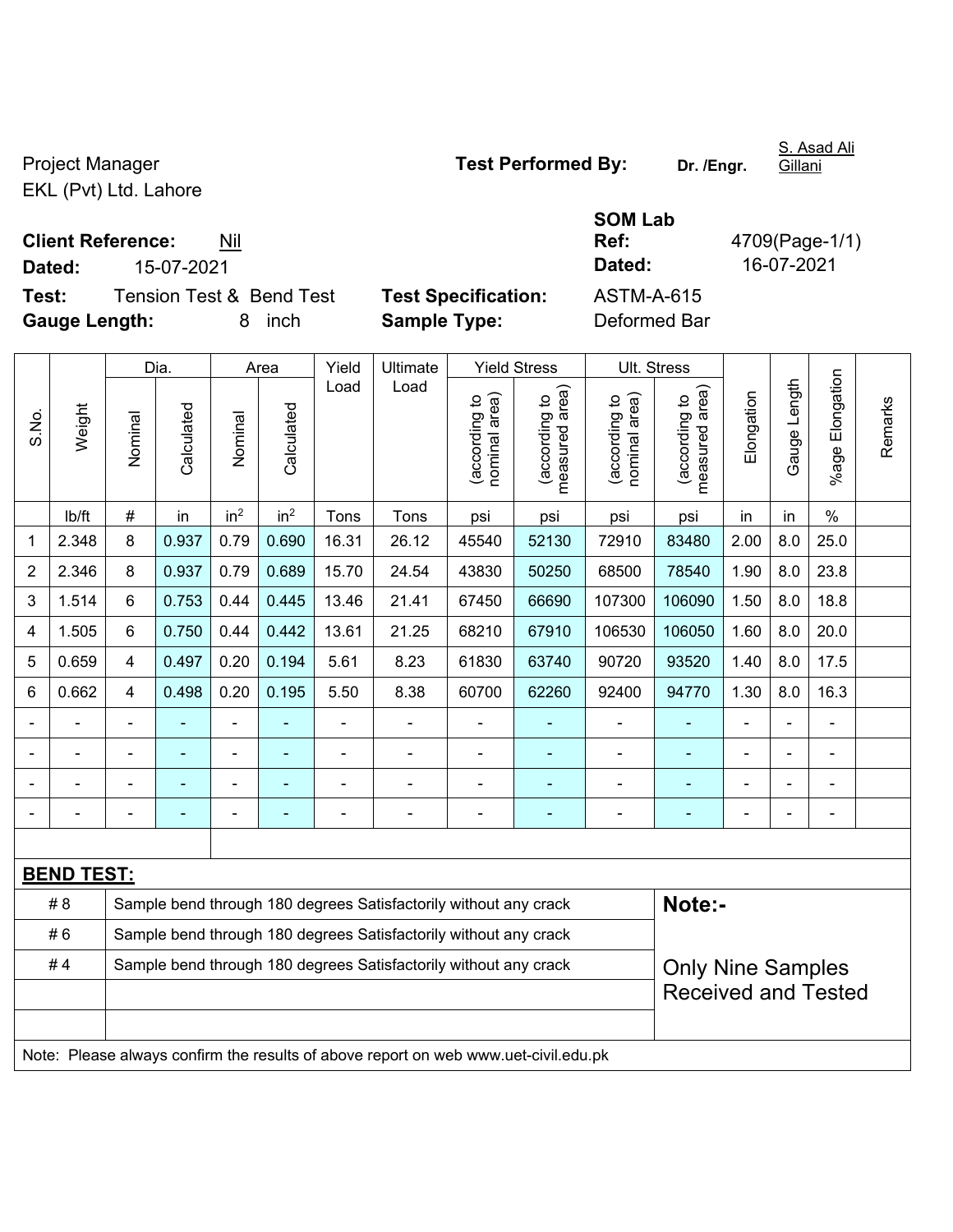EKL (Pvt) Ltd. Lahore

**Client Reference:** Nil

**Dated:** 15-07-2021 **Dated:** 16-07-2021

**Test:** Tension Test & Bend Test **Test Specification:** ASTM-A-615 **Gauge Length:** 8 inch **Sample Type:** Deformed Bar

|                |                   |                                                                  | Dia.       |                 | Area            | Yield | Ultimate                                                         |                                   | <b>Yield Stress</b>                         |                                | Ult. Stress                     |                |              |                 |         |
|----------------|-------------------|------------------------------------------------------------------|------------|-----------------|-----------------|-------|------------------------------------------------------------------|-----------------------------------|---------------------------------------------|--------------------------------|---------------------------------|----------------|--------------|-----------------|---------|
| S.No.          | Weight            | Nominal                                                          | Calculated | Nominal         | Calculated      | Load  | Load                                                             | area)<br>(according to<br>nominal | (according to<br>measured area)<br>measured | nominal area)<br>(according to | measured area)<br>(according to | Elongation     | Gauge Length | %age Elongation | Remarks |
|                | lb/ft             | $\#$                                                             | in         | in <sup>2</sup> | in <sup>2</sup> | Tons  | Tons                                                             | psi                               | psi                                         | psi                            | psi                             | in             | in           | $\frac{0}{0}$   |         |
| 1              | 2.348             | 8                                                                | 0.937      | 0.79            | 0.690           | 16.31 | 26.12                                                            | 45540                             | 52130                                       | 72910                          | 83480                           | 2.00           | 8.0          | 25.0            |         |
| $\overline{2}$ | 2.346             | 8                                                                | 0.937      | 0.79            | 0.689           | 15.70 | 24.54                                                            | 43830                             | 50250                                       | 68500                          | 78540                           | 1.90           | 8.0          | 23.8            |         |
| 3              | 1.514             | 6                                                                | 0.753      | 0.44            | 0.445           | 13.46 | 21.41                                                            | 67450                             | 66690                                       | 107300                         | 106090                          | 1.50           | 8.0          | 18.8            |         |
| 4              | 1.505             | $6\phantom{1}$                                                   | 0.750      | 0.44            | 0.442           | 13.61 | 21.25                                                            | 68210                             | 67910                                       | 106530                         | 106050                          | 1.60           | 8.0          | 20.0            |         |
| 5              | 0.659             | $\overline{4}$                                                   | 0.497      | 0.20            | 0.194           | 5.61  | 8.23                                                             | 61830                             | 63740                                       | 90720                          | 93520                           | 1.40           | 8.0          | 17.5            |         |
| 6              | 0.662             | $\overline{4}$                                                   | 0.498      | 0.20            | 0.195           | 5.50  | 8.38                                                             | 60700                             | 62260                                       | 92400                          | 94770                           | 1.30           | 8.0          | 16.3            |         |
| $\blacksquare$ |                   | $\blacksquare$                                                   |            | $\blacksquare$  |                 | ÷,    | $\blacksquare$                                                   |                                   | ٠                                           | $\blacksquare$                 | ÷                               | $\overline{a}$ |              | $\blacksquare$  |         |
|                |                   | ٠                                                                | ۰          | $\blacksquare$  |                 |       |                                                                  |                                   |                                             | $\blacksquare$                 |                                 |                |              | $\blacksquare$  |         |
|                |                   | $\blacksquare$                                                   | ۰          | $\blacksquare$  | $\blacksquare$  |       |                                                                  | $\blacksquare$                    | -                                           | $\qquad \qquad \blacksquare$   | ÷                               |                |              | ÷               |         |
|                |                   | $\blacksquare$                                                   |            |                 |                 |       |                                                                  |                                   |                                             |                                |                                 | $\blacksquare$ |              | ۰               |         |
|                |                   |                                                                  |            |                 |                 |       |                                                                  |                                   |                                             |                                |                                 |                |              |                 |         |
|                | <b>BEND TEST:</b> |                                                                  |            |                 |                 |       |                                                                  |                                   |                                             |                                |                                 |                |              |                 |         |
|                | # 8               |                                                                  |            |                 |                 |       | Sample bend through 180 degrees Satisfactorily without any crack |                                   |                                             |                                | Note:-                          |                |              |                 |         |
|                | #6                | Sample bend through 180 degrees Satisfactorily without any crack |            |                 |                 |       |                                                                  |                                   |                                             |                                |                                 |                |              |                 |         |

| # 6 | Sample bend through 180 degrees Satisfactorily without any crack |                          |
|-----|------------------------------------------------------------------|--------------------------|
| # 4 | Sample bend through 180 degrees Satisfactorily without any crack | <b>Only Nine Samples</b> |
|     |                                                                  | Received and Tested      |

Note: Please always confirm the results of above report on web www.uet-civil.edu.pk

Project Manager **Test Performed By:** Dr. /Engr.

**SOM Lab** 

S. Asad Ali Gillani

**Ref:** 4709(Page-1/1)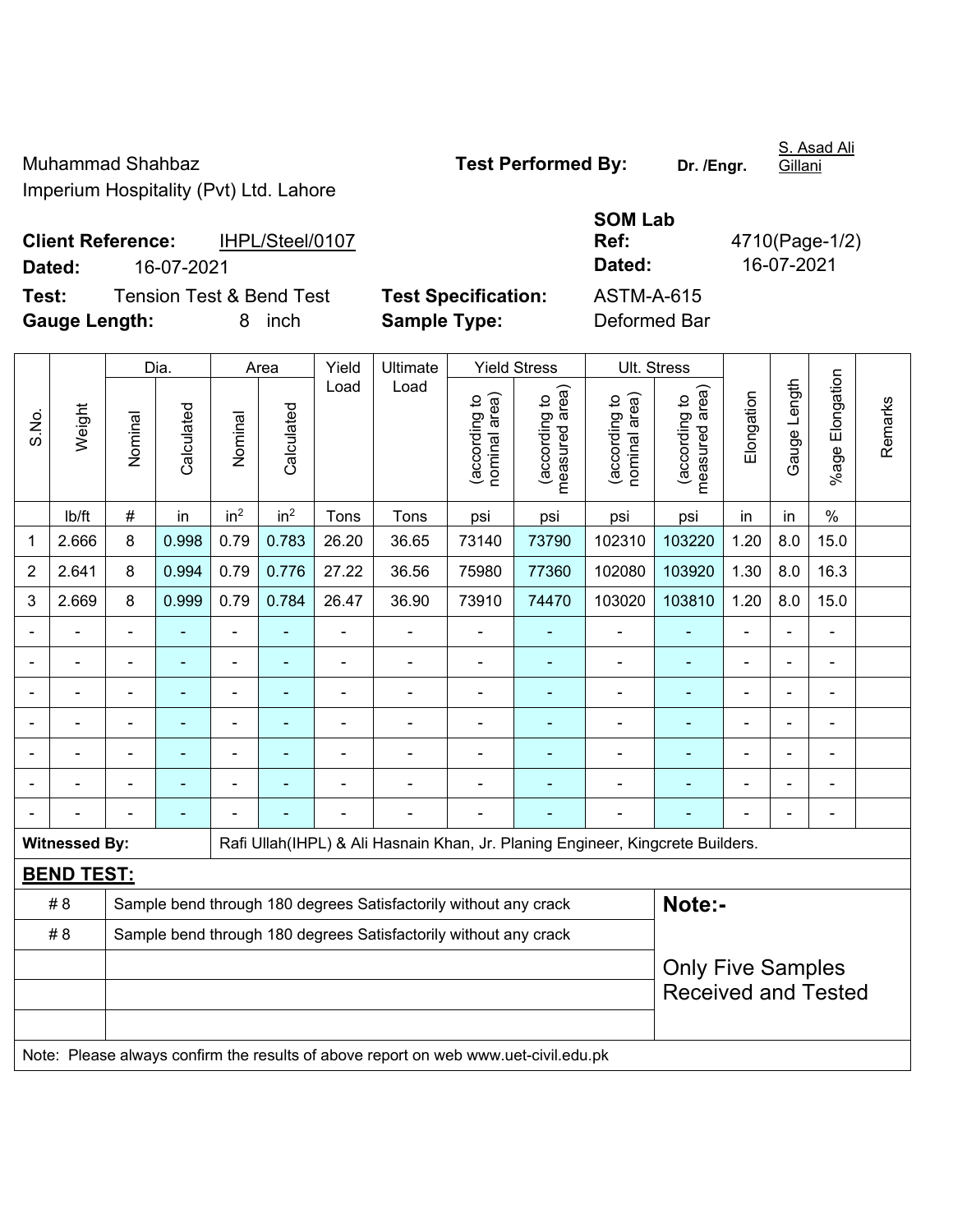Muhammad Shahbaz **Test Performed By:** Dr. /Engr. Imperium Hospitality (Pvt) Ltd. Lahore

Gillani

S. Asad Ali

**Client Reference:** IHPL/Steel/0107 **Dated:** 16-07-2021 **Dated:** 16-07-2021 **Test:** Tension Test & Bend Test **Test Specification:** 

| <b>SOM Lab</b> |                |
|----------------|----------------|
| Ref:           | 4710(Page-1/2) |
| Dated:         | 16-07-2021     |
| ASTM-A-615     |                |
| Defermed Der   |                |

**Gauge Length:** 8 inch **Sample Type:** Deformed Bar

|                                                                                                         |                   | Dia.           |                |                          | Area            | Yield          | Ultimate |                                | <b>Yield Stress</b>             | Ult. Stress                    |                                 |                |                |                          |         |  |
|---------------------------------------------------------------------------------------------------------|-------------------|----------------|----------------|--------------------------|-----------------|----------------|----------|--------------------------------|---------------------------------|--------------------------------|---------------------------------|----------------|----------------|--------------------------|---------|--|
| S.No.                                                                                                   | Weight            | Nominal        | Calculated     | Nominal                  | Calculated      | Load           | Load     | nominal area)<br>(according to | (according to<br>measured area) | nominal area)<br>(according to | measured area)<br>(according to | Elongation     | Gauge Length   | %age Elongation          | Remarks |  |
|                                                                                                         | lb/ft             | $\#$           | in             | in <sup>2</sup>          | in <sup>2</sup> | Tons           | Tons     | psi                            | psi                             | psi                            | psi                             | in             | in             | $\%$                     |         |  |
| 1                                                                                                       | 2.666             | 8              | 0.998          | 0.79                     | 0.783           | 26.20          | 36.65    | 73140                          | 73790                           | 102310                         | 103220                          | 1.20           | 8.0            | 15.0                     |         |  |
| $\overline{2}$                                                                                          | 2.641             | 8              | 0.994          | 0.79                     | 0.776           | 27.22          | 36.56    | 75980                          | 77360                           | 102080                         | 103920                          | 1.30           | 8.0            | 16.3                     |         |  |
| 3                                                                                                       | 2.669             | 8              | 0.999          | 0.79                     | 0.784           | 26.47          | 36.90    | 73910                          | 74470                           | 103020                         | 103810                          | 1.20           | 8.0            | 15.0                     |         |  |
|                                                                                                         |                   |                |                |                          |                 | $\blacksquare$ |          |                                |                                 |                                | ۰                               |                |                |                          |         |  |
|                                                                                                         |                   | $\blacksquare$ | ÷              |                          |                 |                |          | $\blacksquare$                 |                                 | $\blacksquare$                 | ÷                               | $\blacksquare$ | $\blacksquare$ | ÷                        |         |  |
| $\blacksquare$                                                                                          |                   | $\blacksquare$ | $\blacksquare$ | ÷                        | ÷               | $\blacksquare$ | Ē,       |                                | ۰                               | ٠                              | ۰                               | $\blacksquare$ | ä,             | $\blacksquare$           |         |  |
| $\blacksquare$                                                                                          |                   | $\blacksquare$ | $\blacksquare$ | $\overline{\phantom{0}}$ |                 | ٠              |          | $\blacksquare$                 |                                 | ٠                              | ۰                               | $\blacksquare$ | ÷              | $\overline{\phantom{a}}$ |         |  |
|                                                                                                         |                   | $\blacksquare$ |                |                          |                 |                |          |                                |                                 | ٠                              | $\blacksquare$                  |                |                | $\blacksquare$           |         |  |
|                                                                                                         |                   |                |                |                          |                 |                |          | $\blacksquare$                 |                                 |                                |                                 | $\blacksquare$ | $\blacksquare$ |                          |         |  |
|                                                                                                         |                   |                | $\blacksquare$ |                          |                 |                | ٠        | ä,                             |                                 |                                |                                 |                | $\blacksquare$ | ÷                        |         |  |
| <b>Witnessed By:</b><br>Rafi Ullah (IHPL) & Ali Hasnain Khan, Jr. Planing Engineer, Kingcrete Builders. |                   |                |                |                          |                 |                |          |                                |                                 |                                |                                 |                |                |                          |         |  |
|                                                                                                         | <b>BEND TEST:</b> |                |                |                          |                 |                |          |                                |                                 |                                |                                 |                |                |                          |         |  |
| Sample bend through 180 degrees Satisfactorily without any crack<br># 8                                 |                   |                |                |                          |                 |                |          |                                |                                 |                                | Note:-                          |                |                |                          |         |  |
| #8<br>Sample bend through 180 degrees Satisfactorily without any crack                                  |                   |                |                |                          |                 |                |          |                                |                                 |                                |                                 |                |                |                          |         |  |
|                                                                                                         |                   |                |                |                          |                 |                |          |                                |                                 |                                | <b>Only Five Samples</b>        |                |                |                          |         |  |
|                                                                                                         |                   |                |                |                          |                 |                |          |                                |                                 |                                | <b>Received and Tested</b>      |                |                |                          |         |  |
|                                                                                                         |                   |                |                |                          |                 |                |          |                                |                                 |                                |                                 |                |                |                          |         |  |

Note: Please always confirm the results of above report on web www.uet-civil.edu.pk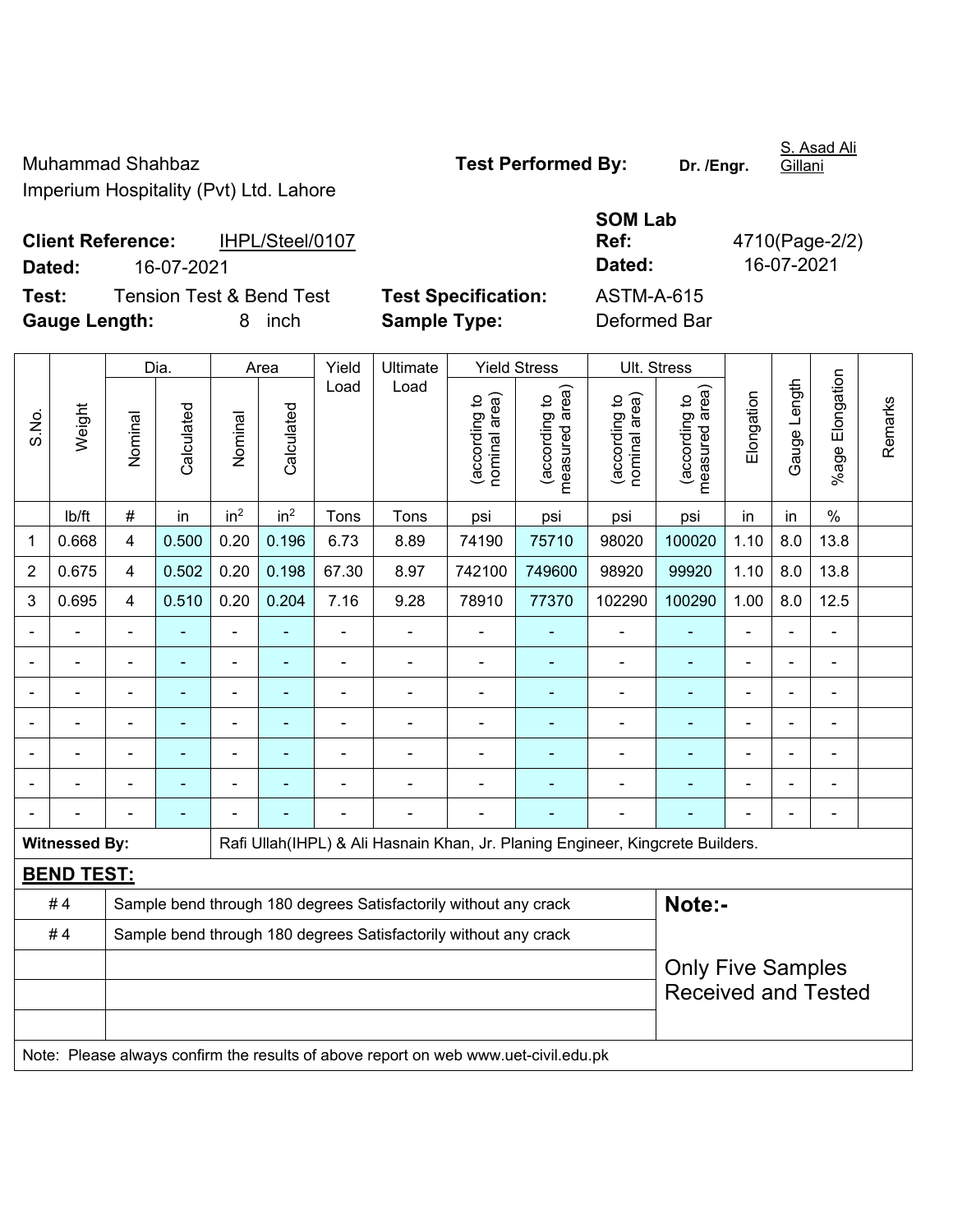Muhammad Shahbaz **Test Performed By:** Dr. /Engr. Imperium Hospitality (Pvt) Ltd. Lahore

Gillani

## **SOM Lab Ref:** 4710(Page-2/2)

**Client Reference:** IHPL/Steel/0107 **Dated:** 16-07-2021 **Dated:** 16-07-2021 **Test:** Tension Test & Bend Test **Test Specification:** ASTM-A-615

**Gauge Length:** 8 inch **Sample Type:** Deformed Bar

|                | Weight                   |                | Dia.           |                 | Area            |                | Ultimate                                                                            | <b>Yield Stress</b>            |                                 | Ult. Stress                    |                                 |                |              |                    |         |
|----------------|--------------------------|----------------|----------------|-----------------|-----------------|----------------|-------------------------------------------------------------------------------------|--------------------------------|---------------------------------|--------------------------------|---------------------------------|----------------|--------------|--------------------|---------|
| S.No.          |                          | Nominal        | Calculated     | Nominal         | Calculated      | Load           | Load                                                                                | nominal area)<br>(according to | (according to<br>measured area) | nominal area)<br>(according to | (according to<br>measured area) | Elongation     | Gauge Length | Elongation<br>%age | Remarks |
|                | lb/ft                    | $\#$           | in             | in <sup>2</sup> | in <sup>2</sup> | Tons           | Tons                                                                                | psi                            | psi                             | psi                            | psi                             | in             | in           | $\frac{0}{0}$      |         |
| 1              | 0.668                    | 4              | 0.500          | 0.20            | 0.196           | 6.73           | 8.89                                                                                | 74190                          | 75710                           | 98020                          | 100020                          | 1.10           | 8.0          | 13.8               |         |
| $\overline{2}$ | 0.675                    | 4              | 0.502          | 0.20            | 0.198           | 67.30          | 8.97                                                                                | 742100                         | 749600                          | 98920                          | 99920                           | 1.10           | 8.0          | 13.8               |         |
| 3              | 0.695                    | 4              | 0.510          | 0.20            | 0.204           | 7.16           | 9.28                                                                                | 78910                          | 77370                           | 102290                         | 100290                          | 1.00           | 8.0          | 12.5               |         |
|                |                          |                | $\blacksquare$ | ÷,              |                 | $\blacksquare$ | ÷                                                                                   | $\overline{\phantom{a}}$       | ۰                               | $\blacksquare$                 | $\blacksquare$                  | $\blacksquare$ |              | $\blacksquare$     |         |
| $\blacksquare$ | $\overline{\phantom{0}}$ | $\blacksquare$ | ÷              | $\blacksquare$  | $\blacksquare$  | L,             | ÷,                                                                                  | $\blacksquare$                 | $\blacksquare$                  | $\blacksquare$                 | $\blacksquare$                  | $\blacksquare$ |              | $\blacksquare$     |         |
|                |                          | L,             | $\blacksquare$ | $\blacksquare$  | ٠               | L,             | ÷,                                                                                  | ÷                              |                                 | L,                             | ÷,                              | ÷              |              | $\blacksquare$     |         |
|                |                          |                | $\overline{a}$ | $\blacksquare$  |                 |                | $\blacksquare$                                                                      | ÷                              |                                 | $\overline{\phantom{a}}$       |                                 |                |              | ä,                 |         |
|                |                          |                |                |                 |                 |                |                                                                                     | $\blacksquare$                 |                                 |                                |                                 |                |              |                    |         |
|                |                          |                |                | $\blacksquare$  |                 |                | $\blacksquare$                                                                      | $\blacksquare$                 |                                 |                                |                                 |                |              | $\blacksquare$     |         |
|                |                          |                | ۰              |                 |                 |                |                                                                                     |                                |                                 | $\blacksquare$                 |                                 | $\blacksquare$ |              | $\blacksquare$     |         |
|                | <b>Witnessed By:</b>     |                |                |                 |                 |                | Rafi Ullah(IHPL) & Ali Hasnain Khan, Jr. Planing Engineer, Kingcrete Builders.      |                                |                                 |                                |                                 |                |              |                    |         |
|                | <b>BEND TEST:</b>        |                |                |                 |                 |                |                                                                                     |                                |                                 |                                |                                 |                |              |                    |         |
|                | #4                       |                |                |                 |                 |                | Sample bend through 180 degrees Satisfactorily without any crack                    |                                |                                 |                                | Note:-                          |                |              |                    |         |
|                | #4                       |                |                |                 |                 |                | Sample bend through 180 degrees Satisfactorily without any crack                    |                                |                                 |                                |                                 |                |              |                    |         |
|                |                          |                |                |                 |                 |                | <b>Only Five Samples</b>                                                            |                                |                                 |                                |                                 |                |              |                    |         |
|                |                          |                |                |                 |                 |                |                                                                                     |                                |                                 |                                | <b>Received and Tested</b>      |                |              |                    |         |
|                |                          |                |                |                 |                 |                |                                                                                     |                                |                                 |                                |                                 |                |              |                    |         |
|                |                          |                |                |                 |                 |                | Note: Please always confirm the results of above report on web www.uet-civil.edu.pk |                                |                                 |                                |                                 |                |              |                    |         |

S. Asad Ali